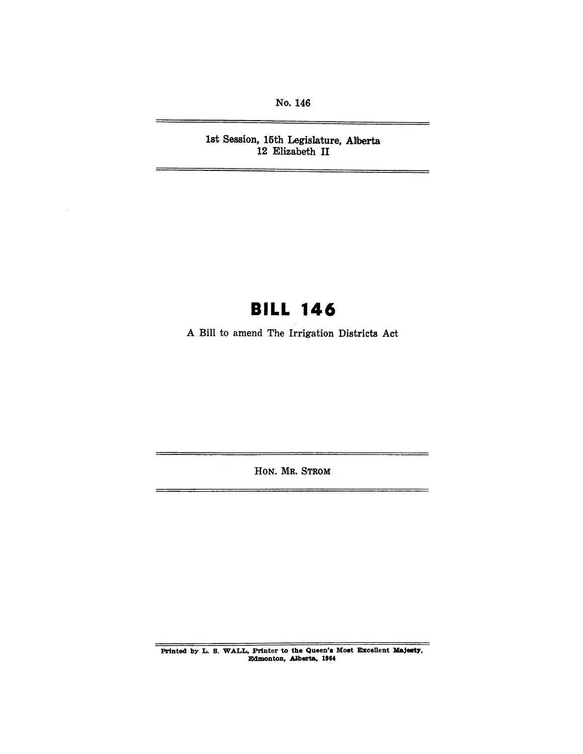No. 146

1st Session, 15th Legislature, Alberta 12 Elizabeth II

# **BILL 146**

A Bill to amend The Irrigation Districts Act

HON. MR. STROM

 $\equiv$ 

Printed by L. S. WALL, Printer to the Queen's Most Excellent Majesty, Edmonton, Alberta, 1964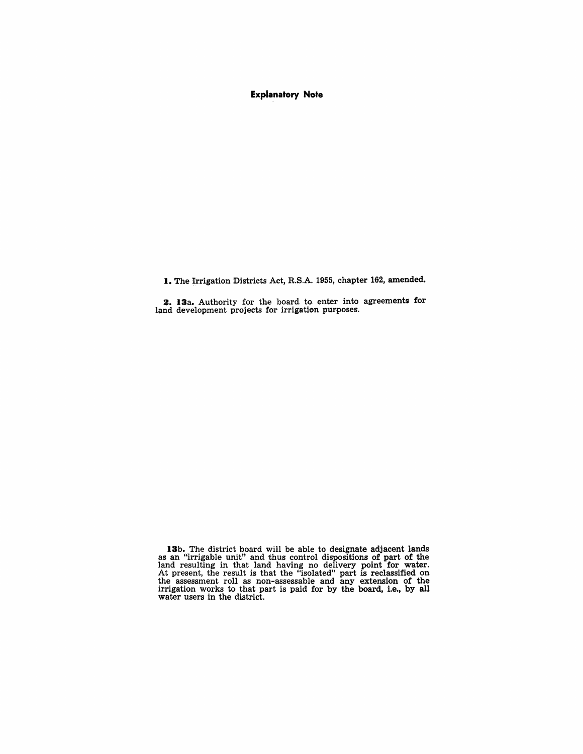Explanatory Note

1. The Irrigation Districts Act, R.S.A. 1955, chapter 162, amended.

2. 13a. Authority for the board to enter into agreements for land development projects for irrigation purposes.

13b. The district board will be able to designate adjacent lands as an "irrigable unit" and thus control dispositions of part of the land resulting in that land having no delivery point for water. At present, the result is that the "isolated" part is reclassified on the assessment roll as non-assessable and any extension of the irrigation works to that part is paid for by the board, i.e., by all water users in the district.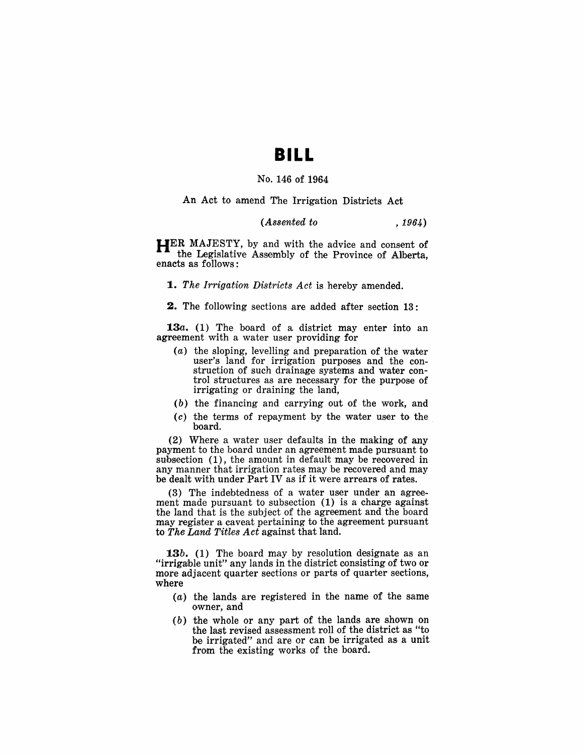## **BILL**

#### No. 146 of 1964

An Act to amend The Irrigation Districts Act

#### *(Assented to* , 1964)

 $H$ ER MAJESTY, by and with the advice and consent of the Legislative Assembly of the Province of Alberta, enacts as follows:

**1.** The Irrigation Districts Act is hereby amended.

2. The following sections are added after section 13:

**13a.** (1) The board of a district may enter into an agreement with a water user providing for

- (a) the sloping, levelling and preparation of the water user's land for irrigation purposes and the construction of such drainage systems and water control structures as are necessary for the purpose of irrigating or draining the land,
- $(b)$  the financing and carrying out of the work, and
- $(c)$  the terms of repayment by the water user to the board.

(2) Where a water user defaults in the making of any payment to the board under an agreement made pursuant to suhsection (1), the amount in default may be recovered in any manner that irrigation rates may be recovered and may be dealt with under Part IV as if it were arrears of rates.

 $(3)$  The indebtedness of a water user under an agreement made pursuant to subsection (1) is a charge against the land that is the subject of the agreement and the board may register a caveat pertaining to the agreement pursuant to *The Land Titles Act* against that land.

**13b.** (1) The board may by resolution designate as an "irrigable unit" any lands in the district consisting of two or more adjacent quarter sections or parts of quarter sections, where

- (a) the lands are registered in the name of the same owner, and
- (b) the whole or any part of the lands are shown on the last revised assessment roll of the district as "to be irrigated" and are or can be irrigated as a unit from the existing works of the board.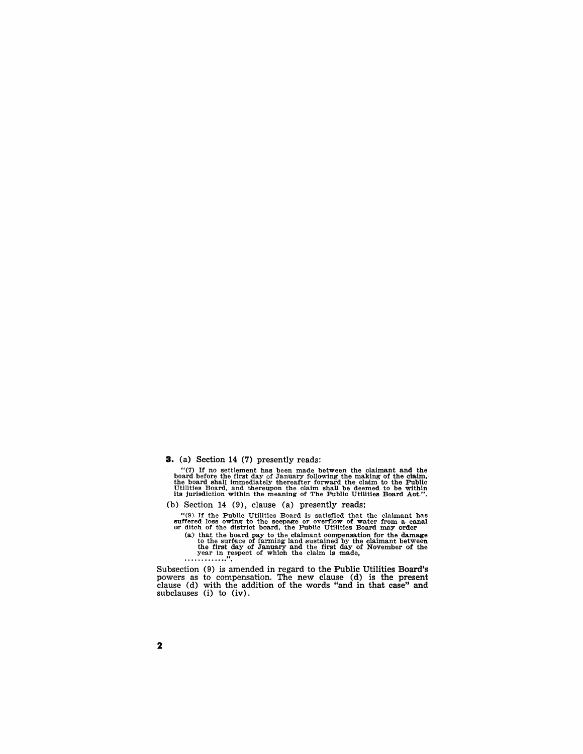**3.** (a) Section 14 (7) presently reads:

"(7) If no settlement has been made between the claimant and the board before the first day of January following the making of the claim, the board shall immediately thereafter forward the claim to the Public Utilities Bo

#### (b) Section 14 (9), clause (a) presently reads:

"(9). If the Public Utilities Board is satisfied that the claimant has suffrered loss owing to the seepage or overflow of water from a canal or dich of the district board, the Public Utilities Board may order (a) that the

Subsection (9) is amended in regard to the Public Utilities Board's powers as to compensation. The new clause (d) is the present clause (d) with the addition of the words "and in that case" and subclauses (i) to (iv).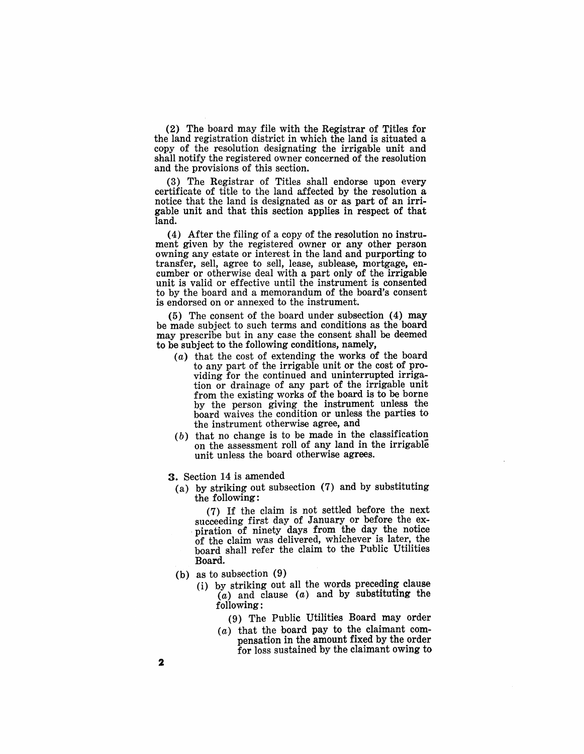(2) The board may file with the Registrar of Titles for the land registration district in which the land is situated a copy of the resolution designating the irrigable unit and shall notify the registered owner concerned of the resolution and the provisions of this section.

(3) The Registrar of Titles shall endorse upon every certificate of title to the land affected by the resolution a notice that the land is designated as or as part of an irrigable unit and that this section applies in respect of that land.

(4) After the filing of a copy of the resolution no instrument given by the registered owner or any other person owning any estate or interest in the land and purporting to transfer, sell, agree to sell, lease, sublease, mortgage, encumber or otherwise deal with a part only of the irrigable unit is valid or effective until the instrument is consented to by the board and a memorandum of the board's consent is endorsed on or annexed to the instrument.

(5) The consent of the board under subsection (4) may be made subject to such terms and conditions as the board may prescribe but in any case the consent shall be deemed to be subject to the following conditions, namely,

- $(a)$  that the cost of extending the works of the board to any part of the irrigable unit or the cost of providing for the continued and uninterrupted irrigation or drainage of any part of the irrigable unit from the existing works of the board is to be borne by the person giving the instrument unless the board waives the condition or unless the parties to the instrument otherwise agree, and
- $(b)$  that no change is to be made in the classification on the assessment roll of any land in the irrigable unit unless the board otherwise agrees.
- 3. Section 14 is amended
	- (a) by striking out subsection (7) and by substituting the following:

(7) If the claim is not settled before the next piration of ninety days from the day the notice 'Of the claim was delivered, whichever is later, the board shaH refer the claim to the Public Utilities Board.

- (b) as to subsection (9)
	- (i) by striking out all the words preceding clause  $(a)$  and clause  $(a)$  and by substituting the following:
		- (9) The Public Utilities Board may order
		- $(a)$  that the board pay to the claimant compensation in the amount fixed by the order for loss sustained by the claimant owing to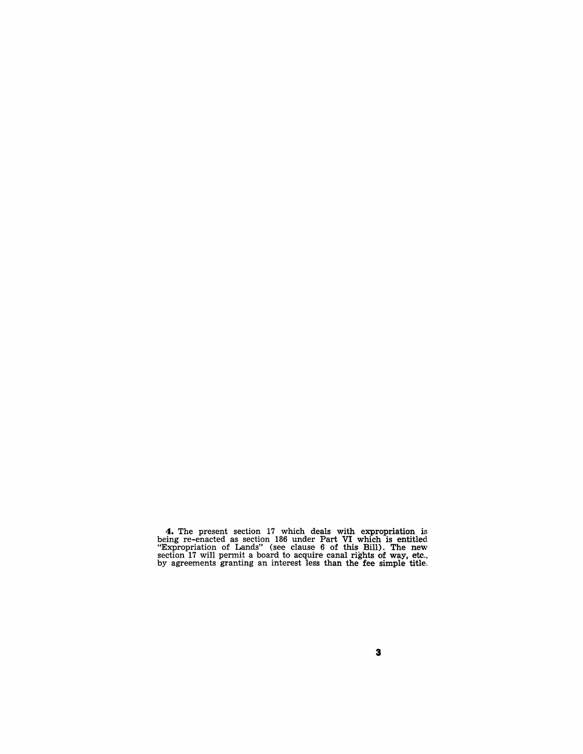**4.** The present section 17 which deals with expropriation is being re-enacted as section 186 under Part VI which is entitled "Expropriation of Lands" (see clause 6 of this Bill). The new section 17 will permit a board to acquire canal rights of way, etc., by agreements granting an interest less than the fee simple title.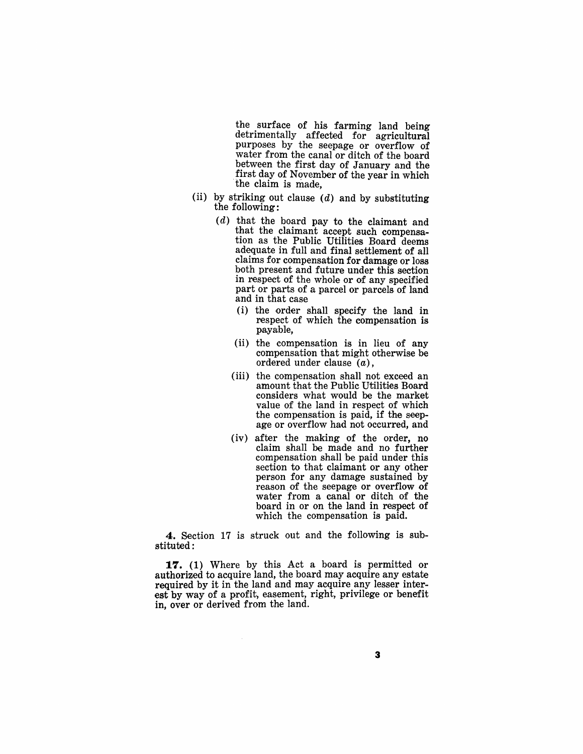the surface of his farming land being detrimentally affected for agricultural purposes by the seepage or overflow of water from the canal or ditch of the board<br>between the first day of January and the first day of November of the year in which the claim is made,

- (ii) by striking out clause  $(d)$  and by substituting the following:
	- (d) that the board pay to the claimant and that the claimant accept such compensation as the Public Utilities Board deems adequate in full and final settlement of all claims for compensation for damage or loss both present and future under this section in respect of the whole or of any specified part or parts of a parcel or parcels of land and in that case
		- (i) the order shall specify the land in respect of which the compensation is payable,
		- (ii) the compensation is in lieu of any compensation that might otherwise be ordered under clause  $(a)$ ,
		- (iii) the compensation shall not exceed an amount that the Public Utilities Board considers what would be the market value of the land in respect of which the compensation is paid, if the seepage or overflow had not occurred, and
		- (iv) after the making of the order, no claim shall be made and no further compensation shall be paid under this section to that claimant or any other person for any damage sustained by reason of the seepage or overflow of water from a canal or ditch of the board in or on the land in respect of which the compensation is paid.

4. Section 17 is struck out and the following is substituted:

**17. (1)** Where by this Act a board is permitted or authorized to acquire land, the board may acquire any estate required by it in the land and may acquire any lesser interest by way of a profit, easement, right, privilege or benefit in, over or derived from the land.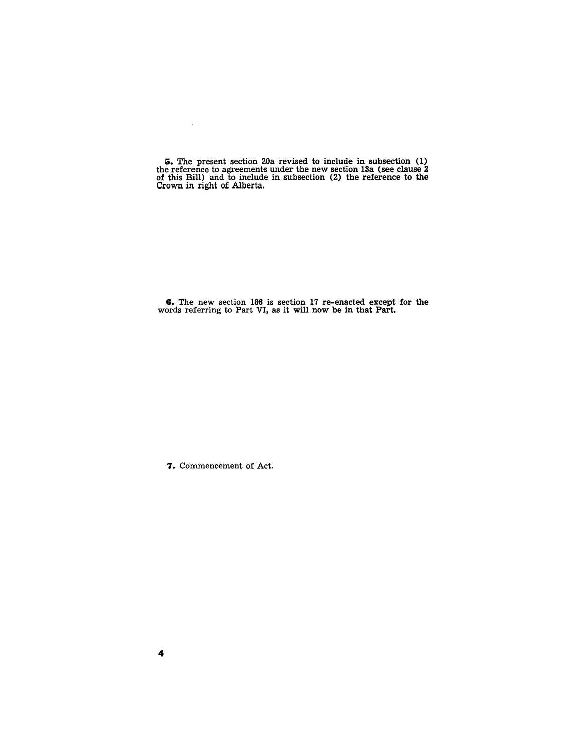**5.** The present section 20a revised to include in subsection (1) the reference to agreements under the new section 13a (see clause 2 of this Bill) and to include in subsection (2) the reference to the Crown in right of Alberta.

**6.** The new section 18'6 is section 1'7 re-enacted except for the words referring to Part VI, as it will now be in that Part.

7. Commencement of Act.

 $\sim$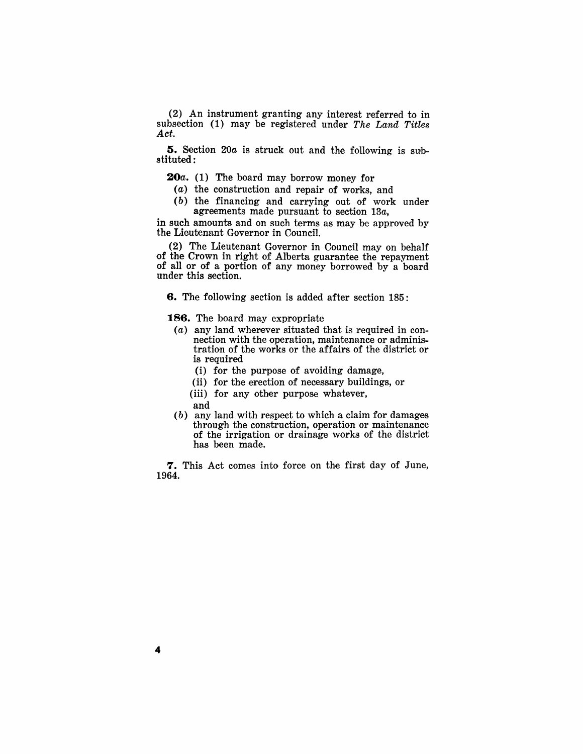(2) An instrument granting any interest referred to in subsection (1) may be registered under *The Land Titles Act.* 

S. Section *20a* is struck out and the following is substituted :

*2Oa.* (1) The board may borrow money for

- (a) the construction and repair of works, and
- (b) the financing and carrying out of work under agreements made pursuant to section *13a,*

in such amounts and on such terms as may be approved by the Lieutenant Governor in Council.

(2) The Lieutenant Governor in Council may on behalf of the Crown in right of Alberta guarantee the repayment of all or of a portion of any money borrowed by a board under this section.

6. The following section is added after section 185:

186. The board may expropriate

- (a) any land wherever situated that is required in connection with the operation, maintenance or administration of the works or the affairs of the district or is required
	- (i) for the purpose of avoiding damage,
	- (ii) for the erection of necessary buildings, or
	- (iii) for any other purpose whatever,
	- and
- (b) any land with respect to which a claim for damages through the construction, operation or maintenance of the irrigation or drainage works of the district has been made.

7. This Act comes into force on the first day of June, 1964.